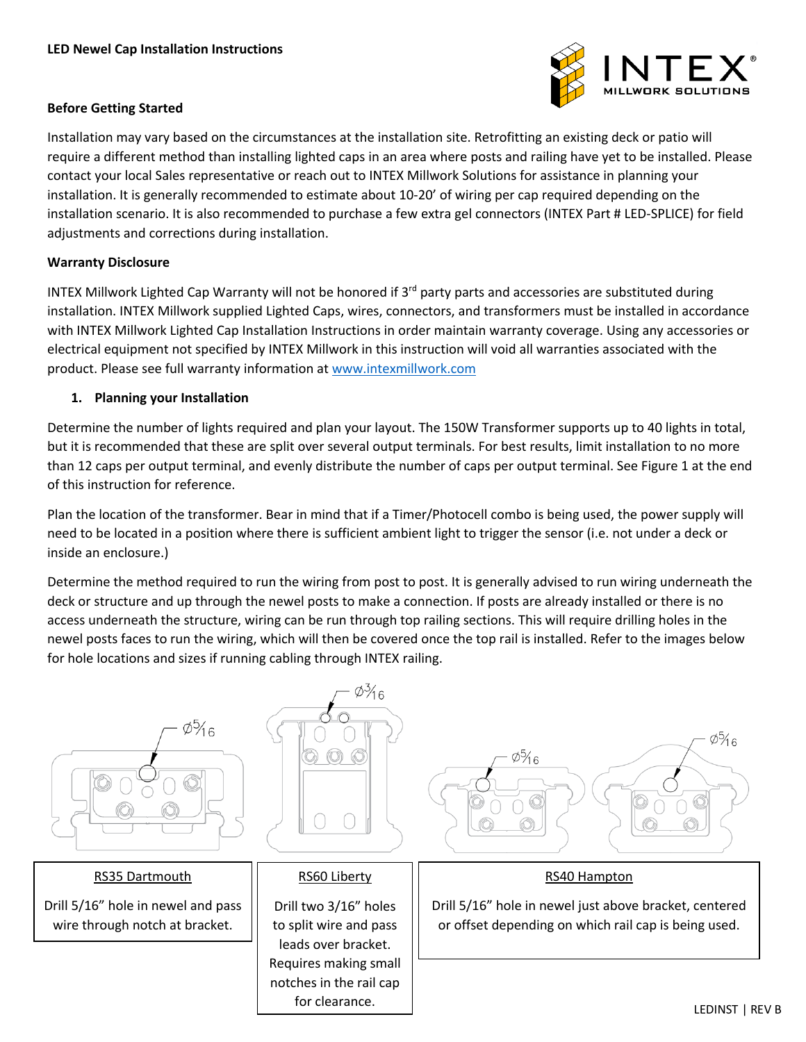

## **Before Getting Started**

Installation may vary based on the circumstances at the installation site. Retrofitting an existing deck or patio will require a different method than installing lighted caps in an area where posts and railing have yet to be installed. Please contact your local Sales representative or reach out to INTEX Millwork Solutions for assistance in planning your installation. It is generally recommended to estimate about 10-20' of wiring per cap required depending on the installation scenario. It is also recommended to purchase a few extra gel connectors (INTEX Part # LED-SPLICE) for field adjustments and corrections during installation.

## **Warranty Disclosure**

INTEX Millwork Lighted Cap Warranty will not be honored if  $3^{rd}$  party parts and accessories are substituted during installation. INTEX Millwork supplied Lighted Caps, wires, connectors, and transformers must be installed in accordance with INTEX Millwork Lighted Cap Installation Instructions in order maintain warranty coverage. Using any accessories or electrical equipment not specified by INTEX Millwork in this instruction will void all warranties associated with the product. Please see full warranty information at www.intexmillwork.com

## **1. Planning your Installation**

Determine the number of lights required and plan your layout. The 150W Transformer supports up to 40 lights in total, but it is recommended that these are split over several output terminals. For best results, limit installation to no more than 12 caps per output terminal, and evenly distribute the number of caps per output terminal. See Figure 1 at the end of this instruction for reference.

Plan the location of the transformer. Bear in mind that if a Timer/Photocell combo is being used, the power supply will need to be located in a position where there is sufficient ambient light to trigger the sensor (i.e. not under a deck or inside an enclosure.)

Determine the method required to run the wiring from post to post. It is generally advised to run wiring underneath the deck or structure and up through the newel posts to make a connection. If posts are already installed or there is no access underneath the structure, wiring can be run through top railing sections. This will require drilling holes in the newel posts faces to run the wiring, which will then be covered once the top rail is installed. Refer to the images below for hole locations and sizes if running cabling through INTEX railing.

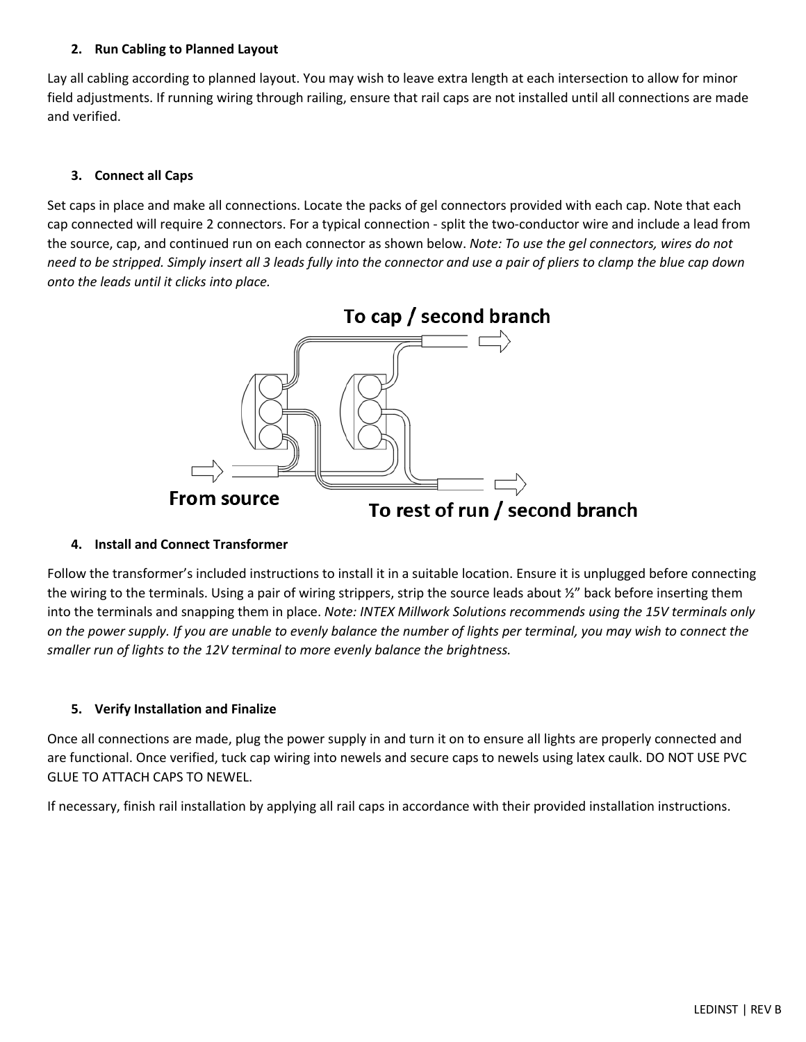# **2. Run Cabling to Planned Layout**

Lay all cabling according to planned layout. You may wish to leave extra length at each intersection to allow for minor field adjustments. If running wiring through railing, ensure that rail caps are not installed until all connections are made and verified.

# **3. Connect all Caps**

Set caps in place and make all connections. Locate the packs of gel connectors provided with each cap. Note that each cap connected will require 2 connectors. For a typical connection - split the two-conductor wire and include a lead from the source, cap, and continued run on each connector as shown below. *Note: To use the gel connectors, wires do not need to be stripped. Simply insert all 3 leads fully into the connector and use a pair of pliers to clamp the blue cap down onto the leads until it clicks into place.*



# **4. Install and Connect Transformer**

Follow the transformer's included instructions to install it in a suitable location. Ensure it is unplugged before connecting the wiring to the terminals. Using a pair of wiring strippers, strip the source leads about ½" back before inserting them into the terminals and snapping them in place. *Note: INTEX Millwork Solutions recommends using the 15V terminals only on the power supply. If you are unable to evenly balance the number of lights per terminal, you may wish to connect the smaller run of lights to the 12V terminal to more evenly balance the brightness.*

# **5. Verify Installation and Finalize**

Once all connections are made, plug the power supply in and turn it on to ensure all lights are properly connected and are functional. Once verified, tuck cap wiring into newels and secure caps to newels using latex caulk. DO NOT USE PVC GLUE TO ATTACH CAPS TO NEWEL.

If necessary, finish rail installation by applying all rail caps in accordance with their provided installation instructions.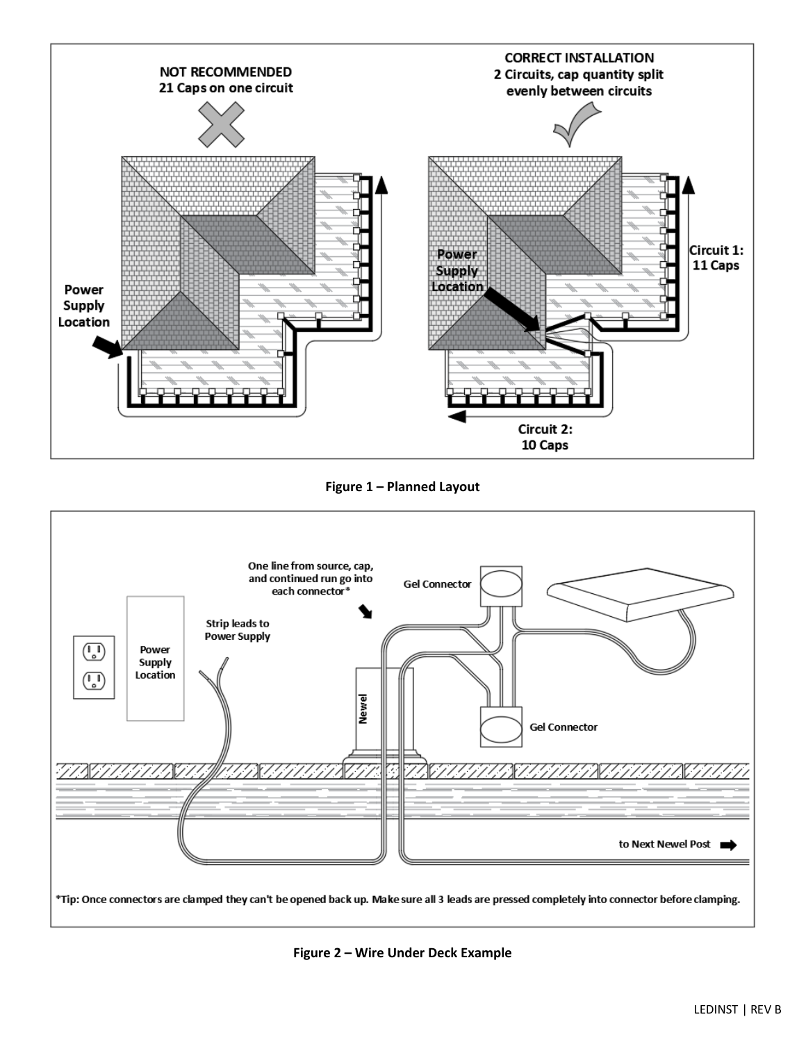

**Figure 1 – Planned Layout**



**Figure 2 – Wire Under Deck Example**